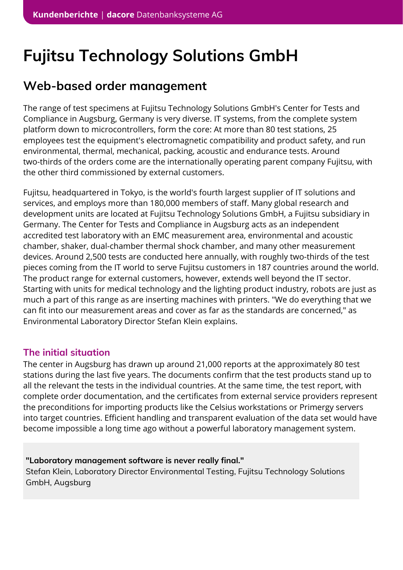# **Fujitsu Technology Solutions GmbH**

## **Web-based order management**

The range of test specimens at Fujitsu Technology Solutions GmbH's Center for Tests and Compliance in Augsburg, Germany is very diverse. IT systems, from the complete system platform down to microcontrollers, form the core: At more than 80 test stations, 25 employees test the equipment's electromagnetic compatibility and product safety, and run environmental, thermal, mechanical, packing, acoustic and endurance tests. Around two-thirds of the orders come are the internationally operating parent company Fujitsu, with the other third commissioned by external customers.

Fujitsu, headquartered in Tokyo, is the world's fourth largest supplier of IT solutions and services, and employs more than 180,000 members of staff. Many global research and development units are located at Fujitsu Technology Solutions GmbH, a Fujitsu subsidiary in Germany. The Center for Tests and Compliance in Augsburg acts as an independent accredited test laboratory with an EMC measurement area, environmental and acoustic chamber, shaker, dual-chamber thermal shock chamber, and many other measurement devices. Around 2,500 tests are conducted here annually, with roughly two-thirds of the test pieces coming from the IT world to serve Fujitsu customers in 187 countries around the world. The product range for external customers, however, extends well beyond the IT sector. Starting with units for medical technology and the lighting product industry, robots are just as much a part of this range as are inserting machines with printers. "We do everything that we can fit into our measurement areas and cover as far as the standards are concerned," as Environmental Laboratory Director Stefan Klein explains.

#### **The initial situation**

The center in Augsburg has drawn up around 21,000 reports at the approximately 80 test stations during the last five years. The documents confirm that the test products stand up to all the relevant the tests in the individual countries. At the same time, the test report, with complete order documentation, and the certificates from external service providers represent the preconditions for importing products like the Celsius workstations or Primergy servers into target countries. Efficient handling and transparent evaluation of the data set would have become impossible a long time ago without a powerful laboratory management system.

**"Laboratory management software is never really final."** Stefan Klein, Laboratory Director Environmental Testing, Fujitsu Technology Solutions GmbH, Augsburg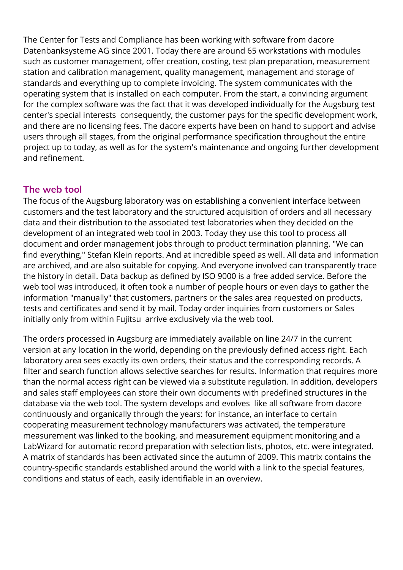The Center for Tests and Compliance has been working with software from dacore Datenbanksysteme AG since 2001. Today there are around 65 workstations with modules such as customer management, offer creation, costing, test plan preparation, measurement station and calibration management, quality management, management and storage of standards and everything up to complete invoicing. The system communicates with the operating system that is installed on each computer. From the start, a convincing argument for the complex software was the fact that it was developed individually for the Augsburg test center's special interests consequently, the customer pays for the specific development work, and there are no licensing fees. The dacore experts have been on hand to support and advise users through all stages, from the original performance specification throughout the entire project up to today, as well as for the system's maintenance and ongoing further development and refinement.

#### **The web tool**

The focus of the Augsburg laboratory was on establishing a convenient interface between customers and the test laboratory and the structured acquisition of orders and all necessary data and their distribution to the associated test laboratories when they decided on the development of an integrated web tool in 2003. Today they use this tool to process all document and order management jobs through to product termination planning. "We can find everything," Stefan Klein reports. And at incredible speed as well. All data and information are archived, and are also suitable for copying. And everyone involved can transparently trace the history in detail. Data backup as defined by ISO 9000 is a free added service. Before the web tool was introduced, it often took a number of people hours or even days to gather the information "manually" that customers, partners or the sales area requested on products, tests and certificates and send it by mail. Today order inquiries from customers or Sales initially only from within Fujitsu arrive exclusively via the web tool.

The orders processed in Augsburg are immediately available on line 24/7 in the current version at any location in the world, depending on the previously defined access right. Each laboratory area sees exactly its own orders, their status and the corresponding records. A filter and search function allows selective searches for results. Information that requires more than the normal access right can be viewed via a substitute regulation. In addition, developers and sales staff employees can store their own documents with predefined structures in the database via the web tool. The system develops and evolves like all software from dacore continuously and organically through the years: for instance, an interface to certain cooperating measurement technology manufacturers was activated, the temperature measurement was linked to the booking, and measurement equipment monitoring and a LabWizard for automatic record preparation with selection lists, photos, etc. were integrated. A matrix of standards has been activated since the autumn of 2009. This matrix contains the country-specific standards established around the world with a link to the special features, conditions and status of each, easily identifiable in an overview.